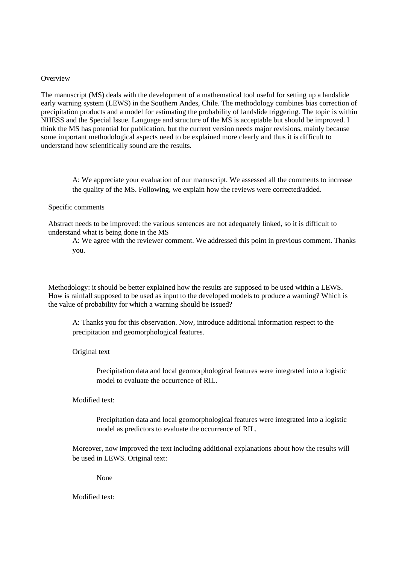#### **Overview**

The manuscript (MS) deals with the development of a mathematical tool useful for setting up a landslide early warning system (LEWS) in the Southern Andes, Chile. The methodology combines bias correction of precipitation products and a model for estimating the probability of landslide triggering. The topic is within NHESS and the Special Issue. Language and structure of the MS is acceptable but should be improved. I think the MS has potential for publication, but the current version needs major revisions, mainly because some important methodological aspects need to be explained more clearly and thus it is difficult to understand how scientifically sound are the results.

A: We appreciate your evaluation of our manuscript. We assessed all the comments to increase the quality of the MS. Following, we explain how the reviews were corrected/added.

### Specific comments

Abstract needs to be improved: the various sentences are not adequately linked, so it is difficult to understand what is being done in the MS

A: We agree with the reviewer comment. We addressed this point in previous comment. Thanks you.

Methodology: it should be better explained how the results are supposed to be used within a LEWS. How is rainfall supposed to be used as input to the developed models to produce a warning? Which is the value of probability for which a warning should be issued?

A: Thanks you for this observation. Now, introduce additional information respect to the precipitation and geomorphological features.

Original text

Precipitation data and local geomorphological features were integrated into a logistic model to evaluate the occurrence of RIL.

Modified text:

Precipitation data and local geomorphological features were integrated into a logistic model as predictors to evaluate the occurrence of RIL.

Moreover, now improved the text including additional explanations about how the results will be used in LEWS. Original text:

None

Modified text: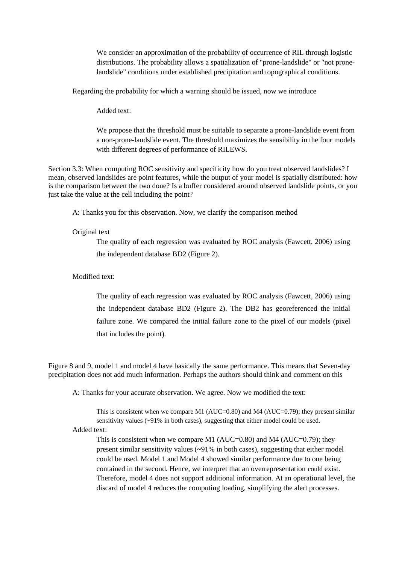We consider an approximation of the probability of occurrence of RIL through logistic distributions. The probability allows a spatialization of "prone-landslide" or "not pronelandslide" conditions under established precipitation and topographical conditions.

Regarding the probability for which a warning should be issued, now we introduce

Added text:

We propose that the threshold must be suitable to separate a prone-landslide event from a non-prone-landslide event. The threshold maximizes the sensibility in the four models with different degrees of performance of RILEWS.

Section 3.3: When computing ROC sensitivity and specificity how do you treat observed landslides? I mean, observed landslides are point features, while the output of your model is spatially distributed: how is the comparison between the two done? Is a buffer considered around observed landslide points, or you just take the value at the cell including the point?

A: Thanks you for this observation. Now, we clarify the comparison method

## Original text

The quality of each regression was evaluated by ROC analysis (Fawcett, 2006) using the independent database BD2 (Figure 2).

# Modified text:

The quality of each regression was evaluated by ROC analysis (Fawcett, 2006) using the independent database BD2 (Figure 2). The DB2 has georeferenced the initial failure zone. We compared the initial failure zone to the pixel of our models (pixel that includes the point).

Figure 8 and 9, model 1 and model 4 have basically the same performance. This means that Seven-day precipitation does not add much information. Perhaps the authors should think and comment on this

A: Thanks for your accurate observation. We agree. Now we modified the text:

This is consistent when we compare M1 (AUC=0.80) and M4 (AUC=0.79); they present similar sensitivity values (~91% in both cases), suggesting that either model could be used.

Added text:

This is consistent when we compare M1 (AUC=0.80) and M4 (AUC=0.79); they present similar sensitivity values (~91% in both cases), suggesting that either model could be used. Model 1 and Model 4 showed similar performance due to one being contained in the second. Hence, we interpret that an overrepresentation could exist. Therefore, model 4 does not support additional information. At an operational level, the discard of model 4 reduces the computing loading, simplifying the alert processes.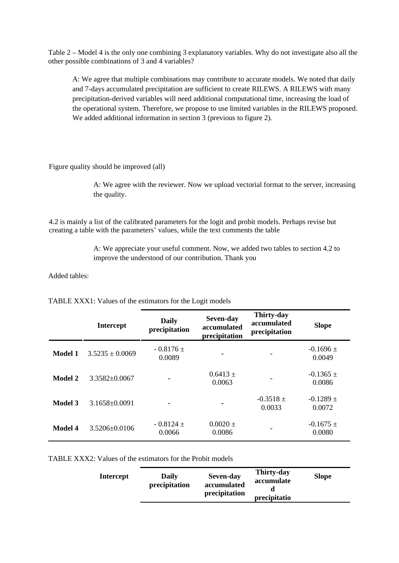Table 2 – Model 4 is the only one combining 3 explanatory variables. Why do not investigate also all the other possible combinations of 3 and 4 variables?

A: We agree that multiple combinations may contribute to accurate models. We noted that daily and 7-days accumulated precipitation are sufficient to create RILEWS. A RILEWS with many precipitation-derived variables will need additional computational time, increasing the load of the operational system. Therefore, we propose to use limited variables in the RILEWS proposed. We added additional information in section 3 (previous to figure 2).

Figure quality should be improved (all)

A: We agree with the reviewer. Now we upload vectorial format to the server, increasing the quality.

4.2 is mainly a list of the calibrated parameters for the logit and probit models. Perhaps revise but creating a table with the parameters' values, while the text comments the table

> A: We appreciate your useful comment. Now, we added two tables to section 4.2 to improve the understood of our contribution. Thank you

Added tables:

|                | <b>Intercept</b>    | <b>Daily</b><br>precipitation | Seven-day<br>accumulated<br>precipitation | <b>Thirty-day</b><br>accumulated<br>precipitation | <b>Slope</b>            |
|----------------|---------------------|-------------------------------|-------------------------------------------|---------------------------------------------------|-------------------------|
| <b>Model 1</b> | $3.5235 \pm 0.0069$ | $-0.8176 \pm$<br>0.0089       |                                           |                                                   | $-0.1696 \pm$<br>0.0049 |
| <b>Model 2</b> | $3.3582\pm0.0067$   |                               | $0.6413 \pm$<br>0.0063                    |                                                   | $-0.1365 \pm$<br>0.0086 |
| <b>Model 3</b> | $3.1658 \pm 0.0091$ |                               |                                           | $-0.3518 \pm$<br>0.0033                           | $-0.1289 \pm$<br>0.0072 |
| <b>Model 4</b> | 3.5206±0.0106       | $-0.8124 \pm$<br>0.0066       | $0.0020 \pm$<br>0.0086                    |                                                   | $-0.1675 \pm$<br>0.0080 |

TABLE XXX1: Values of the estimators for the Logit models

TABLE XXX2: Values of the estimators for the Probit models

| Intercept | <b>Daily</b><br>precipitation | Seven-day<br>accumulated<br>precipitation | Thirty-day<br>accumulate<br>precipitatio | Slope |
|-----------|-------------------------------|-------------------------------------------|------------------------------------------|-------|
|-----------|-------------------------------|-------------------------------------------|------------------------------------------|-------|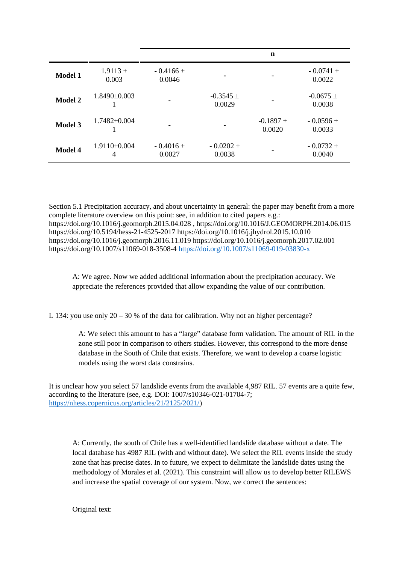|                |                       |                          |                         | n                       |                         |
|----------------|-----------------------|--------------------------|-------------------------|-------------------------|-------------------------|
| Model 1        | $1.9113 \pm$<br>0.003 | $-0.4166 \pm$<br>0.0046  |                         |                         | $-0.0741 \pm$<br>0.0022 |
| <b>Model 2</b> | $1.8490\pm0.003$      |                          | $-0.3545 \pm$<br>0.0029 |                         | $-0.0675 \pm$<br>0.0038 |
| <b>Model 3</b> | $1.7482\pm0.004$      | $\overline{\phantom{0}}$ |                         | $-0.1897 \pm$<br>0.0020 | $-0.0596 \pm$<br>0.0033 |
| Model 4        | $1.9110\pm0.004$<br>4 | $-0.4016 \pm$<br>0.0027  | $-0.0202 \pm$<br>0.0038 |                         | $-0.0732 \pm$<br>0.0040 |

Section 5.1 Precipitation accuracy, and about uncertainty in general: the paper may benefit from a more complete literature overview on this point: see, in addition to cited papers e.g.: https://doi.org/10.1016/j.geomorph.2015.04.028 , https://doi.org/10.1016/J.GEOMORPH.2014.06.015 https://doi.org/10.5194/hess-21-4525-2017 https://doi.org/10.1016/j.jhydrol.2015.10.010 https://doi.org/10.1016/j.geomorph.2016.11.019 https://doi.org/10.1016/j.geomorph.2017.02.001 https://doi.org/10.1007/s11069-018-3508-4<https://doi.org/10.1007/s11069-019-03830-x>

A: We agree. Now we added additional information about the precipitation accuracy. We appreciate the references provided that allow expanding the value of our contribution.

L 134: you use only  $20 - 30$  % of the data for calibration. Why not an higher percentage?

A: We select this amount to has a "large" database form validation. The amount of RIL in the zone still poor in comparison to others studies. However, this correspond to the more dense database in the South of Chile that exists. Therefore, we want to develop a coarse logistic models using the worst data constrains.

It is unclear how you select 57 landslide events from the available 4,987 RIL. 57 events are a quite few, according to the literature (see, e.g. DOI: 1007/s10346-021-01704-7; <https://nhess.copernicus.org/articles/21/2125/2021/>)

A: Currently, the south of Chile has a well-identified landslide database without a date. The local database has 4987 RIL (with and without date). We select the RIL events inside the study zone that has precise dates. In to future, we expect to delimitate the landslide dates using the methodology of Morales et al. (2021). This constraint will allow us to develop better RILEWS and increase the spatial coverage of our system. Now, we correct the sentences:

Original text: